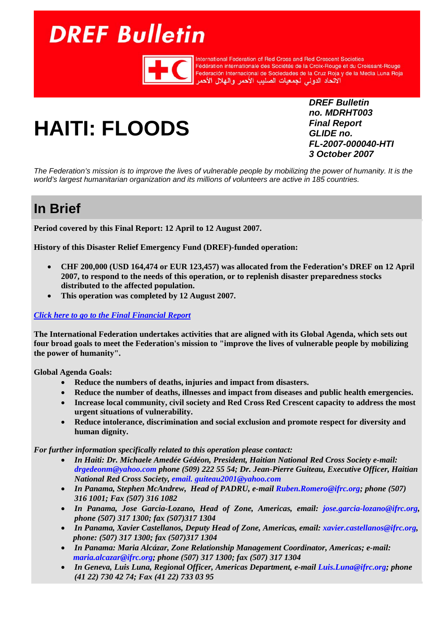# <span id="page-0-0"></span>**DREF Bulletin**



**International Federation of Red Cross and Red Crescent Societies** rmemanional redefaction of hed Cross and hed Crescent Societies<br>Fédération internationale des Sociétés de la Croix-Rouge et du Croissant-Rouge<br>Federación Internacional de Sociedades de la Cruz Roja y de la Media Luna Roja

# **HAITI: FLOODS**

*DREF Bulletin no. MDRHT003 Final Report GLIDE no. FL-2007-000040-HTI 3 October 2007* 

*The Federation's mission is to improve the lives of vulnerable people by mobilizing the power of humanity. It is the world's largest humanitarian organization and its millions of volunteers are active in 185 countries.* 

# **In Brief**

**Period covered by this Final Report: 12 April to 12 August 2007.** 

**History of this Disaster Relief Emergency Fund (DREF)-funded operation:** 

- **CHF 200,000 (USD 164,474 or EUR 123,457) was allocated from the Federation's DREF on 12 April 2007, to respond to the needs of this operation, or to replenish disaster preparedness stocks distributed to the affected population.**
- **This operation was completed by 12 August 2007.**

#### *[Click here to go to the Final Financial Report](#page-5-0)*

**The International Federation undertakes activities that are aligned with its Global Agenda, which sets out four broad goals to meet the Federation's mission to "improve the lives of vulnerable people by mobilizing the power of humanity".** 

**Global Agenda Goals:** 

- **Reduce the numbers of deaths, injuries and impact from disasters.**
- **Reduce the number of deaths, illnesses and impact from diseases and public health emergencies.**
- **Increase local community, civil society and Red Cross Red Crescent capacity to address the most urgent situations of vulnerability.**
- **Reduce intolerance, discrimination and social exclusion and promote respect for diversity and human dignity.**

*For further information specifically related to this operation please contact:* 

- *In Haiti: Dr. Michaele Amedée Gédéon, President, Haitian National Red Cross Society e-mail: drgedeonm@yahoo.com phone (509) 222 55 54; Dr. Jean-Pierre Guiteau, Executive Officer, Haitian National Red Cross Society, email. guiteau2001@yahoo.com*
- *In Panama, Stephen McAndrew, Head of PADRU, e-mail Ruben.Romero@ifrc.org; phone (507) 316 1001; Fax (507) 316 1082*
- *In Panama, Jose Garcia-Lozano, Head of Zone, Americas, email: jose.garcia-lozano@ifrc.org, phone (507) 317 1300; fax (507)317 1304*
- *In Panama, Xavier Castellanos, Deputy Head of Zone, Americas, email: xavier.castellanos@ifrc.org, phone: (507) 317 1300; fax (507)317 1304*
- *In Panama: Maria Alcázar, Zone Relationship Management Coordinator, Americas; e-mail: maria.alcazar@ifrc.org; phone (507) 317 1300; fax (507) 317 1304*
- *In Geneva, Luis Luna, Regional Officer, Americas Department, e-mail Luis.Luna@ifrc.org; phone (41 22) 730 42 74; Fax (41 22) 733 03 95*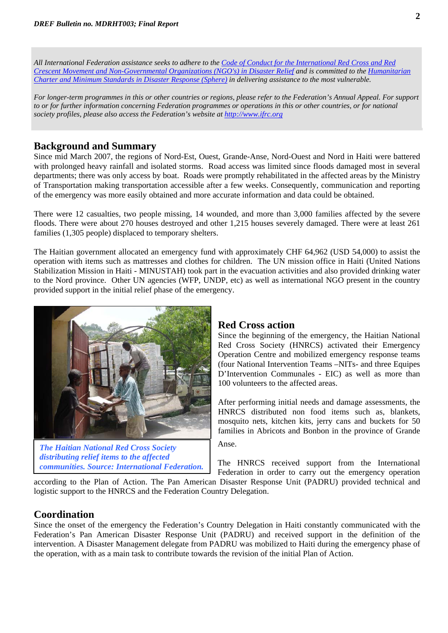*All International Federation assistance seeks to adhere to the Code of Conduct for the International Red Cross and Red Crescent Movement and Non-Governmental Organizations (NGO's) in Disaster Relief and is committed to the Humanitarian Charter and Minimum Standards in Disaster Response (Sphere) in delivering assistance to the most vulnerable.*

*For longer-term programmes in this or other countries or regions, please refer to the Federation's Annual Appeal. For support to or for further information concerning Federation programmes or operations in this or other countries, or for national society profiles, please also access the Federation's website at [http://www.ifrc.org](www.ifrc.org)*

#### **Background and Summary**

Since mid March 2007, the regions of Nord-Est, Ouest, Grande-Anse, Nord-Ouest and Nord in Haiti were battered with prolonged heavy rainfall and isolated storms. Road access was limited since floods damaged most in several departments; there was only access by boat. Roads were promptly rehabilitated in the affected areas by the Ministry of Transportation making transportation accessible after a few weeks. Consequently, communication and reporting of the emergency was more easily obtained and more accurate information and data could be obtained.

There were 12 casualties, two people missing, 14 wounded, and more than 3,000 families affected by the severe floods. There were about 270 houses destroyed and other 1,215 houses severely damaged. There were at least 261 families (1,305 people) displaced to temporary shelters.

The Haitian government allocated an emergency fund with approximately CHF 64,962 (USD 54,000) to assist the operation with items such as mattresses and clothes for children. The UN mission office in Haiti (United Nations Stabilization Mission in Haiti - MINUSTAH) took part in the evacuation activities and also provided drinking water to the Nord province. Other UN agencies (WFP, UNDP, etc) as well as international NGO present in the country provided support in the initial relief phase of the emergency.



Anse. *The Haitian National Red Cross Society distributing relief items to the affected* 

#### **Red Cross action**

Since the beginning of the emergency, the Haitian National Red Cross Society (HNRCS) activated their Emergency Operation Centre and mobilized emergency response teams (four National Intervention Teams –NITs- and three Equipes D'Intervention Communales - EIC) as well as more than 100 volunteers to the affected areas.

After performing initial needs and damage assessments, the HNRCS distributed non food items such as, blankets, mosquito nets, kitchen kits, jerry cans and buckets for 50 families in Abricots and Bonbon in the province of Grande

*communities. Source: International Federation.* The HNRCS received support from the International Federation in order to carry out the emergency operation

according to the Plan of Action. The Pan American Disaster Response Unit (PADRU) provided technical and logistic support to the HNRCS and the Federation Country Delegation.

#### **Coordination**

Since the onset of the emergency the Federation's Country Delegation in Haiti constantly communicated with the Federation's Pan American Disaster Response Unit (PADRU) and received support in the definition of the intervention. A Disaster Management delegate from PADRU was mobilized to Haiti during the emergency phase of the operation, with as a main task to contribute towards the revision of the initial Plan of Action.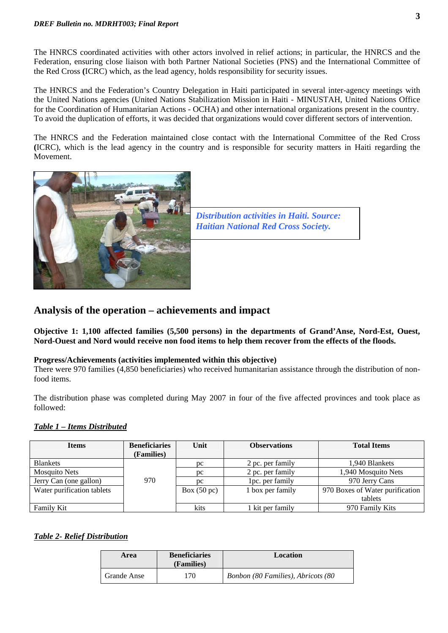The HNRCS coordinated activities with other actors involved in relief actions; in particular, the HNRCS and the Federation, ensuring close liaison with both Partner National Societies (PNS) and the International Committee of the Red Cross **(**ICRC) which, as the lead agency, holds responsibility for security issues.

The HNRCS and the Federation's Country Delegation in Haiti participated in several inter-agency meetings with the United Nations agencies (United Nations Stabilization Mission in Haiti - MINUSTAH, United Nations Office for the Coordination of Humanitarian Actions - OCHA) and other international organizations present in the country. To avoid the duplication of efforts, it was decided that organizations would cover different sectors of intervention.

The HNRCS and the Federation maintained close contact with the International Committee of the Red Cross **(**ICRC), which is the lead agency in the country and is responsible for security matters in Haiti regarding the Movement.





## **Analysis of the operation – achievements and impact**

**Objective 1: 1,100 affected families (5,500 persons) in the departments of Grand'Anse, Nord-Est, Ouest, Nord-Ouest and Nord would receive non food items to help them recover from the effects of the floods.** 

#### **Progress/Achievements (activities implemented within this objective)**

There were 970 families (4,850 beneficiaries) who received humanitarian assistance through the distribution of nonfood items.

The distribution phase was completed during May 2007 in four of the five affected provinces and took place as followed:

#### *Table 1 – Items Distributed*

| <b>Items</b>               | <b>Beneficiaries</b> | Unit                  | <b>Observations</b> | <b>Total Items</b>              |
|----------------------------|----------------------|-----------------------|---------------------|---------------------------------|
|                            | (Families)           |                       |                     |                                 |
| <b>Blankets</b>            |                      | pc                    | 2 pc. per family    | 1.940 Blankets                  |
| <b>Mosquito Nets</b>       |                      | pc                    | 2 pc. per family    | 1,940 Mosquito Nets             |
| Jerry Can (one gallon)     | 970                  | pc                    | 1 pc. per family    | 970 Jerry Cans                  |
| Water purification tablets |                      | Box $(50 \text{ pc})$ | 1 box per family    | 970 Boxes of Water purification |
|                            |                      |                       |                     | tablets                         |
| Family Kit                 |                      | kits                  | 1 kit per family    | 970 Family Kits                 |

#### *Table 2- Relief Distribution*

| Area        | <b>Beneficiaries</b><br>(Families) | Location                           |  |  |  |  |
|-------------|------------------------------------|------------------------------------|--|--|--|--|
| Grande Anse | 170                                | Bonbon (80 Families), Abricots (80 |  |  |  |  |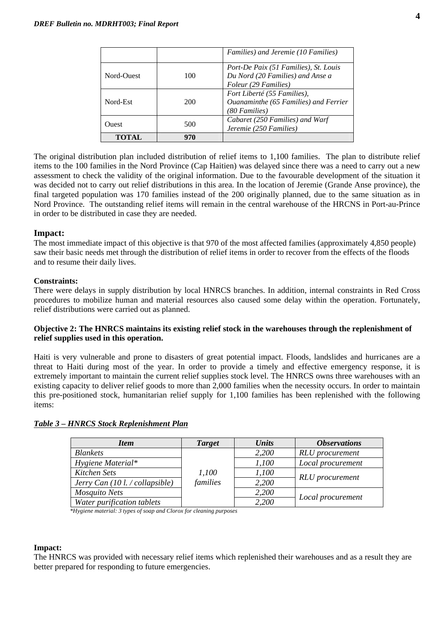|            |     | Families) and Jeremie (10 Families)                                                               |
|------------|-----|---------------------------------------------------------------------------------------------------|
| Nord-Ouest | 100 | Port-De Paix (51 Families), St. Louis<br>Du Nord (20 Families) and Anse a<br>Foleur (29 Families) |
| Nord-Est   | 200 | Fort Liberté (55 Families),<br>Ouanaminthe (65 Families) and Ferrier<br>(80 Families)             |
| Ouest      | 500 | Cabaret (250 Families) and Warf<br>Jeremie (250 Families)                                         |
| TOTAL      | 970 |                                                                                                   |

The original distribution plan included distribution of relief items to 1,100 families. The plan to distribute relief items to the 100 families in the Nord Province (Cap Haitien) was delayed since there was a need to carry out a new assessment to check the validity of the original information. Due to the favourable development of the situation it was decided not to carry out relief distributions in this area. In the location of Jeremie (Grande Anse province), the final targeted population was 170 families instead of the 200 originally planned, due to the same situation as in Nord Province. The outstanding relief items will remain in the central warehouse of the HRCNS in Port-au-Prince in order to be distributed in case they are needed.

#### **Impact:**

The most immediate impact of this objective is that 970 of the most affected families (approximately 4,850 people) saw their basic needs met through the distribution of relief items in order to recover from the effects of the floods and to resume their daily lives.

#### **Constraints:**

There were delays in supply distribution by local HNRCS branches. In addition, internal constraints in Red Cross procedures to mobilize human and material resources also caused some delay within the operation. Fortunately, relief distributions were carried out as planned.

#### **Objective 2: The HNRCS maintains its existing relief stock in the warehouses through the replenishment of relief supplies used in this operation.**

Haiti is very vulnerable and prone to disasters of great potential impact. Floods, landslides and hurricanes are a threat to Haiti during most of the year. In order to provide a timely and effective emergency response, it is extremely important to maintain the current relief supplies stock level. The HNRCS owns three warehouses with an existing capacity to deliver relief goods to more than 2,000 families when the necessity occurs. In order to maintain this pre-positioned stock, humanitarian relief supply for 1,100 families has been replenished with the following items:

#### *Table 3 – HNRCS Stock Replenishment Plan*

| <b>Item</b>                                      | <b>Target</b> | Units | <i><b>Observations</b></i> |  |  |
|--------------------------------------------------|---------------|-------|----------------------------|--|--|
| <b>Blankets</b>                                  |               | 2,200 | <b>RLU</b> procurement     |  |  |
| Hygiene Material*                                |               | 1,100 | Local procurement          |  |  |
| Kitchen Sets                                     | 1,100         | 1,100 |                            |  |  |
| Jerry Can $(10 \text{ l.} / \text{collapsible})$ | families      | 2,200 | <b>RLU</b> procurement     |  |  |
| Mosquito Nets                                    |               | 2,200 |                            |  |  |
| Water purification tablets                       |               | 2,200 | Local procurement          |  |  |

 *\*Hygiene material: 3 types of soap and Clorox for cleaning purposes* 

#### **Impact:**

The HNRCS was provided with necessary relief items which replenished their warehouses and as a result they are better prepared for responding to future emergencies.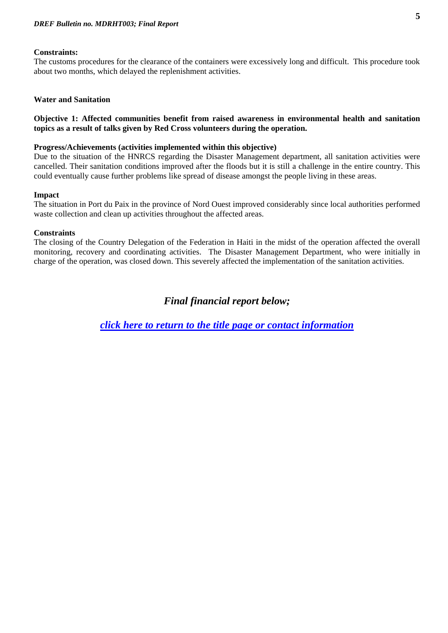#### **Constraints:**

The customs procedures for the clearance of the containers were excessively long and difficult. This procedure took about two months, which delayed the replenishment activities.

#### **Water and Sanitation**

#### **Objective 1: Affected communities benefit from raised awareness in environmental health and sanitation topics as a result of talks given by Red Cross volunteers during the operation.**

#### **Progress/Achievements (activities implemented within this objective)**

Due to the situation of the HNRCS regarding the Disaster Management department, all sanitation activities were cancelled. Their sanitation conditions improved after the floods but it is still a challenge in the entire country. This could eventually cause further problems like spread of disease amongst the people living in these areas.

#### **Impact**

The situation in Port du Paix in the province of Nord Ouest improved considerably since local authorities performed waste collection and clean up activities throughout the affected areas.

#### **Constraints**

The closing of the Country Delegation of the Federation in Haiti in the midst of the operation affected the overall monitoring, recovery and coordinating activities. The Disaster Management Department, who were initially in charge of the operation, was closed down. This severely affected the implementation of the sanitation activities.

## *Final financial report below;*

*[click here to return to the title page or contact information](#page-0-0)*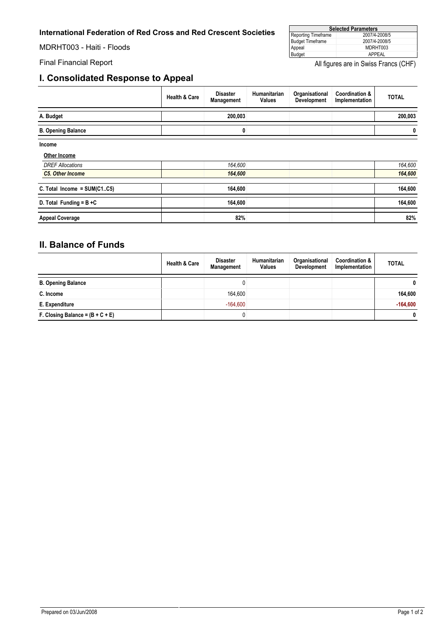#### <span id="page-5-0"></span>**International Federation of Red Cross and Red Crescent Societies**

MDRHT003 - Haiti - Floods

### **I. Consolidated Response to Appeal**

| <b>Selected Parameters</b> |               |  |  |  |
|----------------------------|---------------|--|--|--|
| Reporting Timeframe        | 2007/4-2008/5 |  |  |  |
| Budget Timeframe           | 2007/4-2008/5 |  |  |  |
| Appeal                     | MDRHT003      |  |  |  |
| <b>Budget</b>              | APPFAI        |  |  |  |

Final Financial Report **All figures are in Swiss Francs (CHF)** All figures are in Swiss Francs (CHF)

|                               | <b>Health &amp; Care</b> | <b>Disaster</b><br>Management | Humanitarian<br><b>Values</b> | Organisational<br>Development | <b>Coordination &amp;</b><br>Implementation | <b>TOTAL</b> |
|-------------------------------|--------------------------|-------------------------------|-------------------------------|-------------------------------|---------------------------------------------|--------------|
| A. Budget                     |                          | 200,003                       |                               |                               |                                             | 200,003      |
| <b>B. Opening Balance</b>     |                          | 0                             |                               |                               |                                             | 0            |
| Income                        |                          |                               |                               |                               |                                             |              |
| Other Income                  |                          |                               |                               |                               |                                             |              |
| <b>DREF Allocations</b>       |                          | 164,600                       |                               |                               |                                             | 164,600      |
| <b>C5. Other Income</b>       |                          | 164,600                       |                               |                               |                                             | 164,600      |
| C. Total Income = $SUM(C1C5)$ |                          | 164,600                       |                               |                               |                                             | 164,600      |
| D. Total Funding = $B + C$    |                          | 164,600                       |                               |                               |                                             | 164,600      |
| <b>Appeal Coverage</b>        |                          | 82%                           |                               |                               |                                             | 82%          |

# **II. Balance of Funds**

|                                    | <b>Health &amp; Care</b> | <b>Disaster</b><br>Management | Humanitarian<br><b>Values</b> | Organisational<br><b>Development</b> | <b>Coordination &amp;</b><br>Implementation | <b>TOTAL</b> |
|------------------------------------|--------------------------|-------------------------------|-------------------------------|--------------------------------------|---------------------------------------------|--------------|
| <b>B. Opening Balance</b>          |                          |                               |                               |                                      |                                             | 0            |
| C. Income                          |                          | 164,600                       |                               |                                      |                                             | 164,600      |
| E. Expenditure                     |                          | $-164.600$                    |                               |                                      |                                             | $-164,600$   |
| F. Closing Balance = $(B + C + E)$ |                          | 0                             |                               |                                      |                                             | 0            |